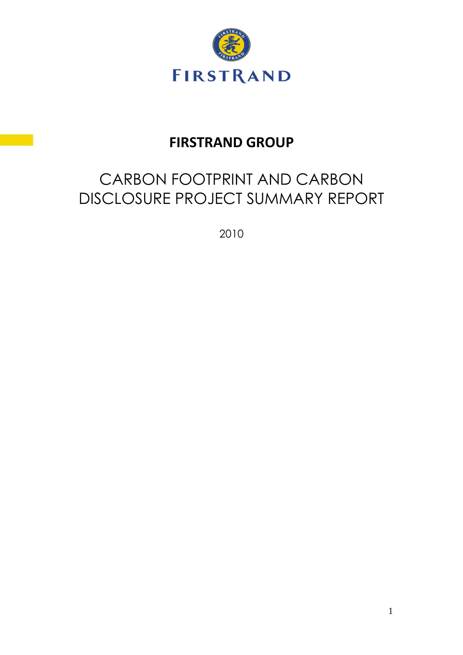

# **FIRSTRAND GROUP**

# CARBON FOOTPRINT AND CARBON DISCLOSURE PROJECT SUMMARY REPORT

2010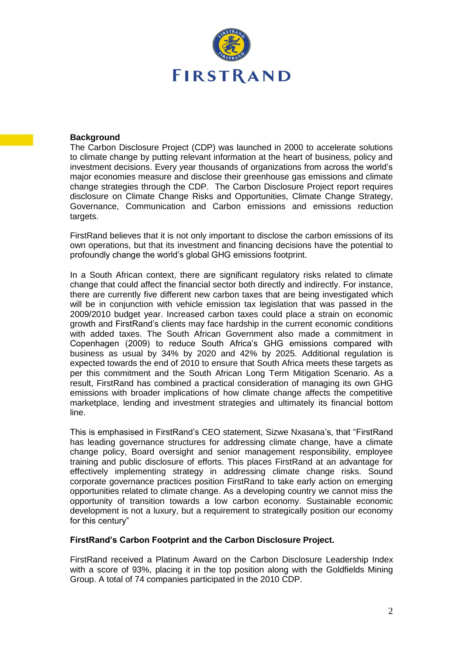

#### **Background**

The Carbon Disclosure Project (CDP) was launched in 2000 to accelerate solutions to climate change by putting relevant information at the heart of business, policy and investment decisions. Every year thousands of organizations from across the world"s major economies measure and disclose their greenhouse gas emissions and climate change strategies through the CDP. The Carbon Disclosure Project report requires disclosure on Climate Change Risks and Opportunities, Climate Change Strategy, Governance, Communication and Carbon emissions and emissions reduction targets.

FirstRand believes that it is not only important to disclose the carbon emissions of its own operations, but that its investment and financing decisions have the potential to profoundly change the world"s global GHG emissions footprint.

In a South African context, there are significant regulatory risks related to climate change that could affect the financial sector both directly and indirectly. For instance, there are currently five different new carbon taxes that are being investigated which will be in conjunction with vehicle emission tax legislation that was passed in the 2009/2010 budget year. Increased carbon taxes could place a strain on economic growth and FirstRand"s clients may face hardship in the current economic conditions with added taxes. The South African Government also made a commitment in Copenhagen (2009) to reduce South Africa's GHG emissions compared with business as usual by 34% by 2020 and 42% by 2025. Additional regulation is expected towards the end of 2010 to ensure that South Africa meets these targets as per this commitment and the South African Long Term Mitigation Scenario. As a result, FirstRand has combined a practical consideration of managing its own GHG emissions with broader implications of how climate change affects the competitive marketplace, lending and investment strategies and ultimately its financial bottom line.

This is emphasised in FirstRand"s CEO statement, Sizwe Nxasana"s, that "FirstRand has leading governance structures for addressing climate change, have a climate change policy, Board oversight and senior management responsibility, employee training and public disclosure of efforts. This places FirstRand at an advantage for effectively implementing strategy in addressing climate change risks. Sound corporate governance practices position FirstRand to take early action on emerging opportunities related to climate change. As a developing country we cannot miss the opportunity of transition towards a low carbon economy. Sustainable economic development is not a luxury, but a requirement to strategically position our economy for this century"

#### **FirstRand's Carbon Footprint and the Carbon Disclosure Project.**

FirstRand received a Platinum Award on the Carbon Disclosure Leadership Index with a score of 93%, placing it in the top position along with the Goldfields Mining Group. A total of 74 companies participated in the 2010 CDP.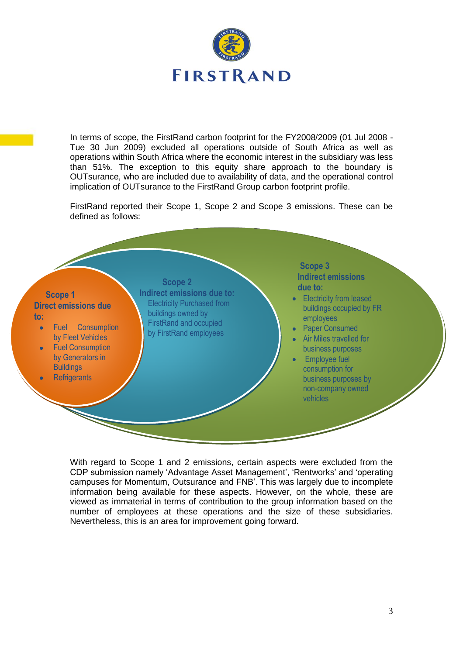

In terms of scope, the FirstRand carbon footprint for the FY2008/2009 (01 Jul 2008 - Tue 30 Jun 2009) excluded all operations outside of South Africa as well as operations within South Africa where the economic interest in the subsidiary was less than 51%. The exception to this equity share approach to the boundary is OUTsurance, who are included due to availability of data, and the operational control implication of OUTsurance to the FirstRand Group carbon footprint profile.

FirstRand reported their Scope 1, Scope 2 and Scope 3 emissions. These can be defined as follows:

### **Scope 1 Direct emissions due to:**

- Fuel Consumption ä by Fleet Vehicles
- Fuel Consumption by Generators in **Buildings**
- **Refrigerants**

**Indirect Indirect emissions due to:** Electricity Purchased from buildings owned by FirstRand and occupied by FirstRand employees

 **Scope 2** 

#### **Scope 3 Indirect emissions due to:**

- Electricity from leased buildings occupied by FR employees
- Paper Consumed
- Air Miles travelled for business purposes
- Employee fuel consumption for business purposes by non-company owned vehicles

With regard to Scope 1 and 2 emissions, certain aspects were excluded from the CDP submission namely "Advantage Asset Management", "Rentworks" and "operating campuses for Momentum, Outsurance and FNB". This was largely due to incomplete information being available for these aspects. However, on the whole, these are viewed as immaterial in terms of contribution to the group information based on the number of employees at these operations and the size of these subsidiaries. Nevertheless, this is an area for improvement going forward.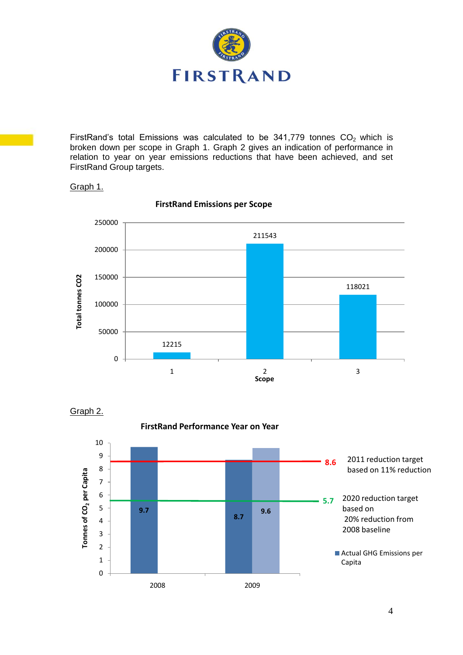

FirstRand's total Emissions was calculated to be  $341,779$  tonnes  $CO<sub>2</sub>$  which is broken down per scope in Graph 1. Graph 2 gives an indication of performance in relation to year on year emissions reductions that have been achieved, and set FirstRand Group targets.

## Graph 1.



#### **FirstRand Emissions per Scope**

Graph 2.

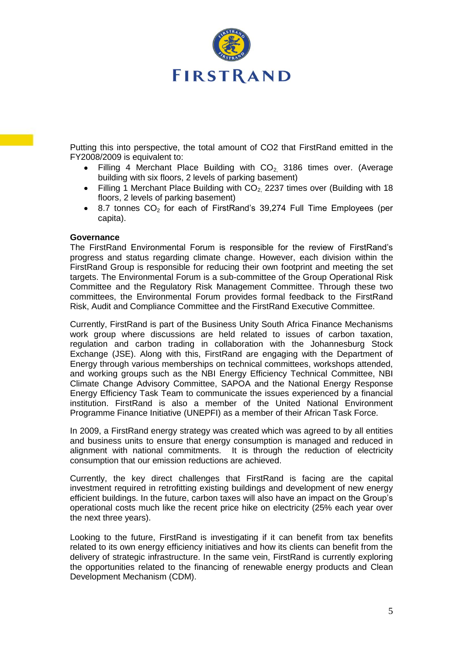

Putting this into perspective, the total amount of CO2 that FirstRand emitted in the FY2008/2009 is equivalent to:

- Filling 4 Merchant Place Building with  $CO<sub>2</sub>$  3186 times over. (Average  $\bullet$ building with six floors, 2 levels of parking basement)
- $\bullet$ Filling 1 Merchant Place Building with  $CO<sub>2</sub>$  2237 times over (Building with 18 floors, 2 levels of parking basement)
- 8.7 tonnes  $CO<sub>2</sub>$  for each of FirstRand's 39,274 Full Time Employees (per  $\bullet$ capita).

#### **Governance**

The FirstRand Environmental Forum is responsible for the review of FirstRand"s progress and status regarding climate change. However, each division within the FirstRand Group is responsible for reducing their own footprint and meeting the set targets. The Environmental Forum is a sub-committee of the Group Operational Risk Committee and the Regulatory Risk Management Committee. Through these two committees, the Environmental Forum provides formal feedback to the FirstRand Risk, Audit and Compliance Committee and the FirstRand Executive Committee.

Currently, FirstRand is part of the Business Unity South Africa Finance Mechanisms work group where discussions are held related to issues of carbon taxation, regulation and carbon trading in collaboration with the Johannesburg Stock Exchange (JSE). Along with this, FirstRand are engaging with the Department of Energy through various memberships on technical committees, workshops attended, and working groups such as the NBI Energy Efficiency Technical Committee, NBI Climate Change Advisory Committee, SAPOA and the National Energy Response Energy Efficiency Task Team to communicate the issues experienced by a financial institution. FirstRand is also a member of the United National Environment Programme Finance Initiative (UNEPFI) as a member of their African Task Force.

In 2009, a FirstRand energy strategy was created which was agreed to by all entities and business units to ensure that energy consumption is managed and reduced in alignment with national commitments. It is through the reduction of electricity consumption that our emission reductions are achieved.

Currently, the key direct challenges that FirstRand is facing are the capital investment required in retrofitting existing buildings and development of new energy efficient buildings. In the future, carbon taxes will also have an impact on the Group"s operational costs much like the recent price hike on electricity (25% each year over the next three years).

Looking to the future, FirstRand is investigating if it can benefit from tax benefits related to its own energy efficiency initiatives and how its clients can benefit from the delivery of strategic infrastructure. In the same vein, FirstRand is currently exploring the opportunities related to the financing of renewable energy products and Clean Development Mechanism (CDM).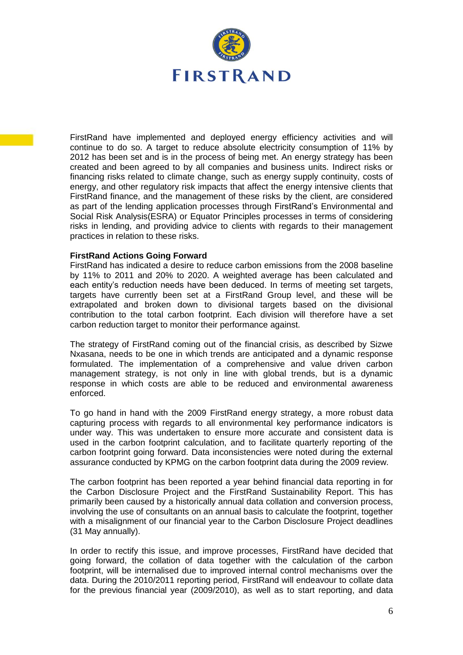

FirstRand have implemented and deployed energy efficiency activities and will continue to do so. A target to reduce absolute electricity consumption of 11% by 2012 has been set and is in the process of being met. An energy strategy has been created and been agreed to by all companies and business units. Indirect risks or financing risks related to climate change, such as energy supply continuity, costs of energy, and other regulatory risk impacts that affect the energy intensive clients that FirstRand finance, and the management of these risks by the client, are considered as part of the lending application processes through FirstRand"s Environmental and Social Risk Analysis(ESRA) or Equator Principles processes in terms of considering risks in lending, and providing advice to clients with regards to their management practices in relation to these risks.

#### **FirstRand Actions Going Forward**

FirstRand has indicated a desire to reduce carbon emissions from the 2008 baseline by 11% to 2011 and 20% to 2020. A weighted average has been calculated and each entity"s reduction needs have been deduced. In terms of meeting set targets, targets have currently been set at a FirstRand Group level, and these will be extrapolated and broken down to divisional targets based on the divisional contribution to the total carbon footprint. Each division will therefore have a set carbon reduction target to monitor their performance against.

The strategy of FirstRand coming out of the financial crisis, as described by Sizwe Nxasana, needs to be one in which trends are anticipated and a dynamic response formulated. The implementation of a comprehensive and value driven carbon management strategy, is not only in line with global trends, but is a dynamic response in which costs are able to be reduced and environmental awareness enforced.

To go hand in hand with the 2009 FirstRand energy strategy, a more robust data capturing process with regards to all environmental key performance indicators is under way. This was undertaken to ensure more accurate and consistent data is used in the carbon footprint calculation, and to facilitate quarterly reporting of the carbon footprint going forward. Data inconsistencies were noted during the external assurance conducted by KPMG on the carbon footprint data during the 2009 review.

The carbon footprint has been reported a year behind financial data reporting in for the Carbon Disclosure Project and the FirstRand Sustainability Report. This has primarily been caused by a historically annual data collation and conversion process, involving the use of consultants on an annual basis to calculate the footprint, together with a misalignment of our financial year to the Carbon Disclosure Project deadlines (31 May annually).

In order to rectify this issue, and improve processes, FirstRand have decided that going forward, the collation of data together with the calculation of the carbon footprint, will be internalised due to improved internal control mechanisms over the data. During the 2010/2011 reporting period, FirstRand will endeavour to collate data for the previous financial year (2009/2010), as well as to start reporting, and data